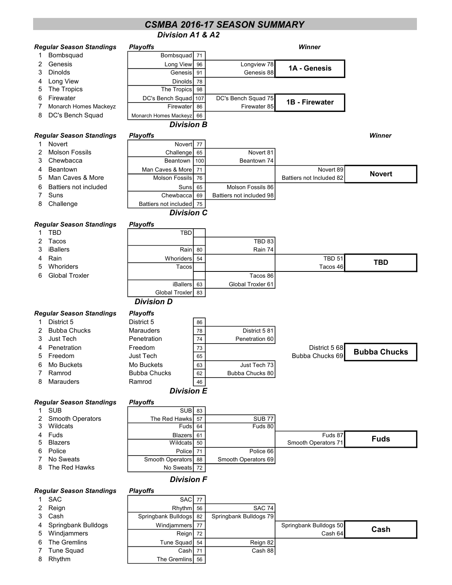# Division A1 & A2 CSMBA 2016-17 SEASON SUMMARY

#### **Regular Seas** 1 Bombsq

|               | Regular Season Standings | <b>Playoffs</b>        |    |                     | Winner         |  |  |  |  |  |
|---------------|--------------------------|------------------------|----|---------------------|----------------|--|--|--|--|--|
| $\mathbf{1}$  | Bombsquad                | Bombsquad              | 71 |                     |                |  |  |  |  |  |
| $\mathcal{P}$ | Genesis                  | Long View              | 96 | Longview 78         | 1A - Genesis   |  |  |  |  |  |
| $\mathbf{3}$  | <b>Dinolds</b>           | Genesis                | 91 | Genesis 88          |                |  |  |  |  |  |
|               | 4 Long View              | <b>Dinolds</b>         | 78 |                     |                |  |  |  |  |  |
| 5             | The Tropics              | The Tropics            | 98 |                     |                |  |  |  |  |  |
| 6             | Firewater                | DC's Bench Squad   107 |    | DC's Bench Squad 75 | 1B - Firewater |  |  |  |  |  |
| 7             | Monarch Homes Mackeyz    | Firewater              | 86 | Firewater 85        |                |  |  |  |  |  |
| 8             | DC's Bench Squad         | Monarch Homes Mackeyz  | 66 |                     |                |  |  |  |  |  |
|               | <b>Division B</b>        |                        |    |                     |                |  |  |  |  |  |

#### Regular Season Standings Playoffs Winner

- 
- 1 Novert Novert 77<br>2 Molson Fossils Challenge 65 2 Molson Fossils **Challenge 65** Novert 81<br>3 Chewbacca **Challenge 65** Novert 81
- 3 Chewbacca **Beantown** 100 Beantown 74
- 4 Beantown **Man Caves & More 71** Man Caves A More 71 Novert 89
- 5 Man Caves & More **Molson Fossils 76** Battiers not Included 82
- 6 Battiers not included | Suns 65 | Molson Fossils 86
- 7 Suns Chewbacca 69 Battiers not included 98
- 8 Challenge **Battiers not included** 75

## Division C

#### Regular Season Standings Playoffs

- 
- 
- 
- 5 Whoriders

**Regular Season Standings** 

|                | aganar ocasom otamanigo | , , , , , , , , ,   |    |                   |                 |                     |
|----------------|-------------------------|---------------------|----|-------------------|-----------------|---------------------|
| 1.             | <b>TBD</b>              | <b>TBD</b>          |    |                   |                 |                     |
| 2.             | Tacos                   |                     |    | <b>TBD 83</b>     |                 |                     |
|                | 3 iBallers              | Rain                | 80 | Rain 74           |                 |                     |
|                | 4 Rain                  | Whoriders           | 54 |                   | <b>TBD 51</b>   | TBD                 |
| 5              | Whoriders               | Tacos               |    |                   | Tacos 46        |                     |
|                | 6 Global Troxler        |                     |    | Tacos 86          |                 |                     |
|                |                         | <b>iBallers</b>     | 63 | Global Troxler 61 |                 |                     |
|                |                         | Global Troxler 83   |    |                   |                 |                     |
|                |                         | <b>Division D</b>   |    |                   |                 |                     |
|                | egular Season Standings | <b>Playoffs</b>     |    |                   |                 |                     |
|                | 1 District 5            | District 5          | 86 |                   |                 |                     |
|                | 2 Bubba Chucks          | <b>Marauders</b>    | 78 | District 581      |                 |                     |
|                | 3 Just Tech             | Penetration         | 74 | Penetration 60    |                 |                     |
|                | 4 Penetration           | Freedom             | 73 |                   | District 5 68   | <b>Bubba Chucks</b> |
|                | 5 Freedom               | <b>Just Tech</b>    | 65 |                   | Bubba Chucks 69 |                     |
|                | 6 Mo Buckets            | Mo Buckets          | 63 | Just Tech 73      |                 |                     |
| $\overline{7}$ | Ramrod                  | <b>Bubba Chucks</b> | 62 | Bubba Chucks 80   |                 |                     |
|                | 8 Marauders             | Ramrod              | 46 |                   |                 |                     |
|                |                         | <b>Division E</b>   |    |                   |                 |                     |

Novert

#### Regular Season Standings Playoffs

|                    | .                   |                     |                     |             |  |
|--------------------|---------------------|---------------------|---------------------|-------------|--|
| 1 SUB              | SUB <sub>83</sub>   |                     |                     |             |  |
| 2 Smooth Operators | The Red Hawks 57    | SUB <sub>77</sub>   |                     |             |  |
| 3 Wildcats         | Fuds 64             | Fuds 80             |                     |             |  |
| 4 Fuds             | Blazers 61          |                     | Fuds 87             | <b>Fuds</b> |  |
| 5 Blazers          | Wildcats 50         |                     | Smooth Operators 71 |             |  |
| 6 Police           | Police 71           | Police 66           |                     |             |  |
| 7 No Sweats        | Smooth Operators 88 | Smooth Operators 69 |                     |             |  |
| 8 The Red Hawks    | No Sweats 72        |                     |                     |             |  |
|                    |                     |                     |                     |             |  |

## Division F

#### Regular Season Standings Playoffs

- 
- 
- 
- 
- 
- 
- 

#### 1 SAC SAC 77 2 Reign **Rhythm** 56 SAC 74 3 Cash Springbank Bulldogs 82 Springbank Bulldogs 79 4 Springbank Bulldogs | Windjammers 77 | Springbank Bulldogs 50 5 Windjammers **Reign 72** Reign 72 Cash 64 6 The Gremlins **Tune Squad** 54 Reign 82 7 Tune Squad **Cash 71** Cash 71 Cash 88 8 Rhythm **The Gremlins** 56 Cash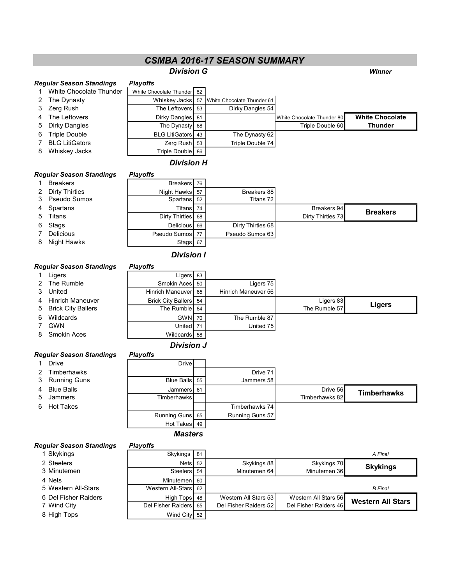# CSMBA 2016-17 SEASON SUMMARY

### **Division G** Winner

#### Regular Season Standings Playoffs

| 1 White Chocolate Thunder | White Chocolate Thunder 82 |                                                 |                            |                        |
|---------------------------|----------------------------|-------------------------------------------------|----------------------------|------------------------|
| 2 The Dynasty             |                            | Whiskey Jacks   57   White Chocolate Thunder 61 |                            |                        |
| 3 Zerg Rush               | The Leftovers 53           | Dirky Dangles 54                                |                            |                        |
| 4 The Leftovers           | Dirky Dangles   81         |                                                 | White Chocolate Thunder 80 | <b>White Chocolate</b> |
| 5 Dirky Dangles           | The Dynasty 68             |                                                 | Triple Double 60           | <b>Thunder</b>         |
| 6 Triple Double           | <b>BLG LitiGators</b> 43   | The Dynasty 62                                  |                            |                        |
| <b>BLG LitiGators</b>     | Zerg Rush 53               | Triple Double 74                                |                            |                        |
| 8 Whiskey Jacks           | Triple Double 86           |                                                 |                            |                        |

#### Division H

#### Regular Season Standings Playoffs

|   | <b>Breakers</b>  | Breakers 76       |                   |                   |                 |
|---|------------------|-------------------|-------------------|-------------------|-----------------|
|   | 2 Dirty Thirties | Night Hawks 57    | Breakers 88       |                   |                 |
|   | 3 Pseudo Sumos   | Spartans 52       | Titans 72         |                   |                 |
|   | 4 Spartans       | Titans 74         |                   | Breakers 94       | <b>Breakers</b> |
|   | 5 Titans         | Dirty Thirties 68 |                   | Dirty Thirties 73 |                 |
|   | 6 Stags          | Delicious 66      | Dirty Thirties 68 |                   |                 |
|   | <b>Delicious</b> | Pseudo Sumos 77   | Pseudo Sumos 63   |                   |                 |
| 8 | Night Hawks      | Stags $67$        |                   |                   |                 |

# Division I

#### Regular Season Standings Playoffs

|   | ~                    |                       |                     |               |        |
|---|----------------------|-----------------------|---------------------|---------------|--------|
|   | Ligers               | Ligers $83$           |                     |               |        |
|   | 2 The Rumble         | Smokin Aces 50        | Ligers 75           |               |        |
|   | 3 United             | Hinrich Maneuver 65   | Hinrich Maneuver 56 |               |        |
|   | 4 Hinrich Maneuver   | Brick City Ballers 54 |                     | Ligers 83     |        |
|   | 5 Brick City Ballers | The Rumble 84         |                     | The Rumble 57 | Ligers |
| 6 | Wildcards            | GWN 70                | The Rumble 87       |               |        |
|   | GWN                  | United 71             | United 75           |               |        |
| 8 | Smokin Aces          | Wildcards 58          |                     |               |        |

# Division J

# Regular Season Standings Playoffs

| 1 Drive        | <b>Drive</b>    |                 |                |                    |
|----------------|-----------------|-----------------|----------------|--------------------|
| 2 Timberhawks  |                 | Drive 71        |                |                    |
| 3 Running Guns | Blue Balls 55   | Jammers 58      |                |                    |
| 4 Blue Balls   | Jammers 61      |                 | Drive 56       | <b>Timberhawks</b> |
| 5 Jammers      | Timberhawksl    |                 | Timberhawks 82 |                    |
| 6 Hot Takes    |                 | Timberhawks 74  |                |                    |
|                | Running Guns 65 | Running Guns 57 |                |                    |
|                | Hot Takes   49  |                 |                |                    |

Masters

# Regular Sea<br>1 Skyking

| egular Season Standings | <b>Playoffs</b>    |    |                       |                       |                          |
|-------------------------|--------------------|----|-----------------------|-----------------------|--------------------------|
| 1 Skykings              | Skykings           | 81 |                       |                       | A Final                  |
| 2 Steelers              | Nets 52            |    | Skykings 88           | Skykings 70           | <b>Skykings</b>          |
| 3 Minutemen             | Steelers           | 54 | Minutemen 64          | Minutemen 36          |                          |
| 4 Nets                  | <b>Minutemen</b>   | 60 |                       |                       |                          |
| 5 Western All-Stars     | Western All-Stars  | 62 |                       |                       | <b>B</b> Final           |
| 6 Del Fisher Raiders    | High Tops          | 48 | Western All Stars 53  | Western All Stars 56  | <b>Western All Stars</b> |
| 7 Wind City             | Del Fisher Raiders | 65 | Del Fisher Raiders 52 | Del Fisher Raiders 46 |                          |
| 8 High Tops             | Wind City 52       |    |                       |                       |                          |
|                         |                    |    |                       |                       |                          |